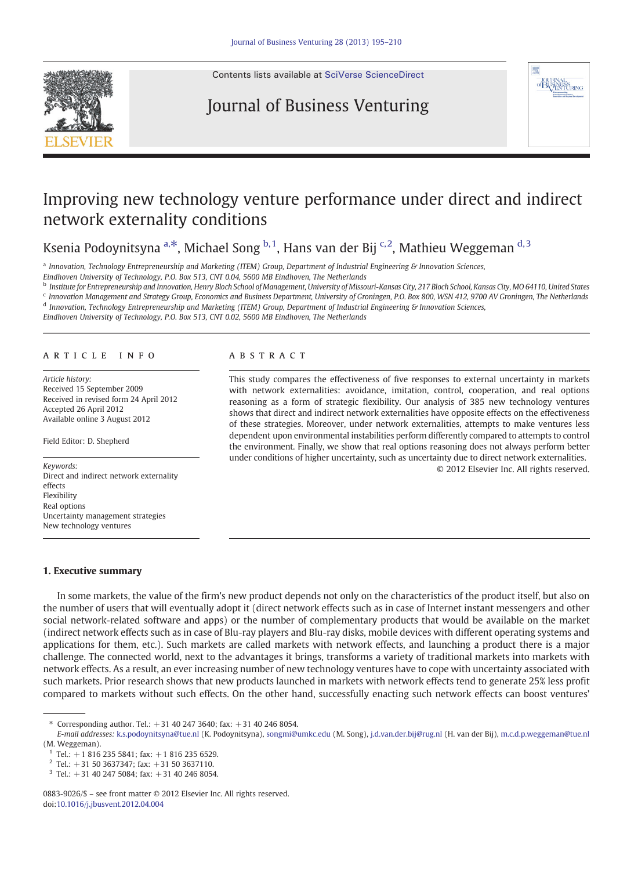

Contents lists available at [SciVerse ScienceDirect](http://www.sciencedirect.com/science/journal/08839026)

## Journal of Business Venturing



## Improving new technology venture performance under direct and indirect network externality conditions

Ksenia Podoynitsyna a,\*, Michael Song  $b$ ,1, Hans van der Bij  $c$ ,2, Mathieu Weggeman  $d$ ,3

<sup>a</sup> Innovation, Technology Entrepreneurship and Marketing (ITEM) Group, Department of Industrial Engineering & Innovation Sciences,

Eindhoven University of Technology, P.O. Box 513, CNT 0.04, 5600 MB Eindhoven, The Netherlands

<sup>b</sup> Institute for Entrepreneurship and Innovation, Henry Bloch School of Management, University of Missouri-Kansas City, 217 Bloch School, Kansas City, MO 64110, United States <sup>c</sup> Innovation Management and Strategy Group, Economics and Business Department, University of Groningen, P.O. Box 800, WSN 412, 9700 AV Groningen, The Netherlands

<sup>d</sup> Innovation, Technology Entrepreneurship and Marketing (ITEM) Group, Department of Industrial Engineering & Innovation Sciences,

Eindhoven University of Technology, P.O. Box 513, CNT 0.02, 5600 MB Eindhoven, The Netherlands

### article info abstract

Article history: Received 15 September 2009 Received in revised form 24 April 2012 Accepted 26 April 2012 Available online 3 August 2012

Field Editor: D. Shepherd

Direct and indirect network externality effects Flexibility Real options Uncertainty management strategies New technology ventures

This study compares the effectiveness of five responses to external uncertainty in markets with network externalities: avoidance, imitation, control, cooperation, and real options reasoning as a form of strategic flexibility. Our analysis of 385 new technology ventures shows that direct and indirect network externalities have opposite effects on the effectiveness of these strategies. Moreover, under network externalities, attempts to make ventures less dependent upon environmental instabilities perform differently compared to attempts to control the environment. Finally, we show that real options reasoning does not always perform better under conditions of higher uncertainty, such as uncertainty due to direct network externalities. © 2012 Elsevier Inc. All rights reserved. Keywords:

### 1. Executive summary

In some markets, the value of the firm's new product depends not only on the characteristics of the product itself, but also on the number of users that will eventually adopt it (direct network effects such as in case of Internet instant messengers and other social network-related software and apps) or the number of complementary products that would be available on the market (indirect network effects such as in case of Blu-ray players and Blu-ray disks, mobile devices with different operating systems and applications for them, etc.). Such markets are called markets with network effects, and launching a product there is a major challenge. The connected world, next to the advantages it brings, transforms a variety of traditional markets into markets with network effects. As a result, an ever increasing number of new technology ventures have to cope with uncertainty associated with such markets. Prior research shows that new products launched in markets with network effects tend to generate 25% less profit compared to markets without such effects. On the other hand, successfully enacting such network effects can boost ventures'

<sup>⁎</sup> Corresponding author. Tel.: +31 40 247 3640; fax: +31 40 246 8054.

E-mail addresses: [k.s.podoynitsyna@tue.nl](mailto:k.s.podoynitsyna@tue.nl) (K. Podoynitsyna), [songmi@umkc.edu](mailto:songmi@umkc.edu) (M. Song), [j.d.van.der.bij@rug.nl](mailto:j.d.van.der.bij@rug.nl) (H. van der Bij), [m.c.d.p.weggeman@tue.nl](mailto:m.c.d.p.weggeman@tue.nl) (M. Weggeman).

 $1$  Tel.:  $+18162355841$ : fax:  $+18162356529$ .

 $2$  Tel.: +31 50 3637347; fax: +31 50 3637110.

 $3$  Tel.: +31 40 247 5084; fax: +31 40 246 8054.

<sup>0883-9026/\$</sup> – see front matter © 2012 Elsevier Inc. All rights reserved. doi[:10.1016/j.jbusvent.2012.04.004](http://dx.doi.org/10.1016/j.jbusvent.2012.04.004)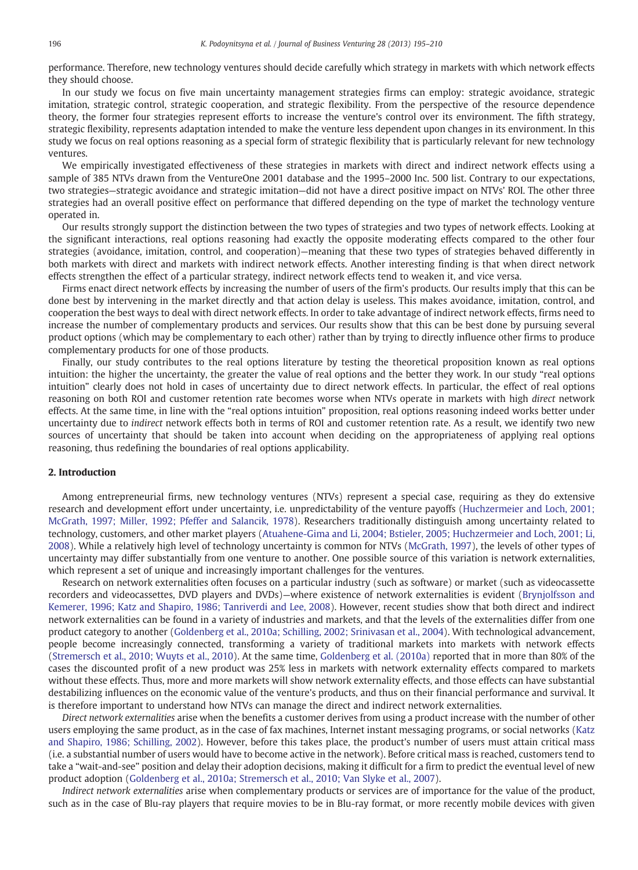performance. Therefore, new technology ventures should decide carefully which strategy in markets with which network effects they should choose.

In our study we focus on five main uncertainty management strategies firms can employ: strategic avoidance, strategic imitation, strategic control, strategic cooperation, and strategic flexibility. From the perspective of the resource dependence theory, the former four strategies represent efforts to increase the venture's control over its environment. The fifth strategy, strategic flexibility, represents adaptation intended to make the venture less dependent upon changes in its environment. In this study we focus on real options reasoning as a special form of strategic flexibility that is particularly relevant for new technology ventures.

We empirically investigated effectiveness of these strategies in markets with direct and indirect network effects using a sample of 385 NTVs drawn from the VentureOne 2001 database and the 1995–2000 Inc. 500 list. Contrary to our expectations, two strategies—strategic avoidance and strategic imitation—did not have a direct positive impact on NTVs' ROI. The other three strategies had an overall positive effect on performance that differed depending on the type of market the technology venture operated in.

Our results strongly support the distinction between the two types of strategies and two types of network effects. Looking at the significant interactions, real options reasoning had exactly the opposite moderating effects compared to the other four strategies (avoidance, imitation, control, and cooperation)—meaning that these two types of strategies behaved differently in both markets with direct and markets with indirect network effects. Another interesting finding is that when direct network effects strengthen the effect of a particular strategy, indirect network effects tend to weaken it, and vice versa.

Firms enact direct network effects by increasing the number of users of the firm's products. Our results imply that this can be done best by intervening in the market directly and that action delay is useless. This makes avoidance, imitation, control, and cooperation the best ways to deal with direct network effects. In order to take advantage of indirect network effects, firms need to increase the number of complementary products and services. Our results show that this can be best done by pursuing several product options (which may be complementary to each other) rather than by trying to directly influence other firms to produce complementary products for one of those products.

Finally, our study contributes to the real options literature by testing the theoretical proposition known as real options intuition: the higher the uncertainty, the greater the value of real options and the better they work. In our study "real options intuition" clearly does not hold in cases of uncertainty due to direct network effects. In particular, the effect of real options reasoning on both ROI and customer retention rate becomes worse when NTVs operate in markets with high direct network effects. At the same time, in line with the "real options intuition" proposition, real options reasoning indeed works better under uncertainty due to indirect network effects both in terms of ROI and customer retention rate. As a result, we identify two new sources of uncertainty that should be taken into account when deciding on the appropriateness of applying real options reasoning, thus redefining the boundaries of real options applicability.

### 2. Introduction

Among entrepreneurial firms, new technology ventures (NTVs) represent a special case, requiring as they do extensive research and development effort under uncertainty, i.e. unpredictability of the venture payoffs ([Huchzermeier and Loch, 2001;](#page--1-0) [McGrath, 1997; Miller, 1992; Pfeffer and Salancik, 1978\)](#page--1-0). Researchers traditionally distinguish among uncertainty related to technology, customers, and other market players ([Atuahene-Gima and Li, 2004; Bstieler, 2005; Huchzermeier and Loch, 2001; Li,](#page--1-0) [2008](#page--1-0)). While a relatively high level of technology uncertainty is common for NTVs [\(McGrath, 1997](#page--1-0)), the levels of other types of uncertainty may differ substantially from one venture to another. One possible source of this variation is network externalities, which represent a set of unique and increasingly important challenges for the ventures.

Research on network externalities often focuses on a particular industry (such as software) or market (such as videocassette recorders and videocassettes, DVD players and DVDs)—where existence of network externalities is evident ([Brynjolfsson and](#page--1-0) [Kemerer, 1996; Katz and Shapiro, 1986; Tanriverdi and Lee, 2008\)](#page--1-0). However, recent studies show that both direct and indirect network externalities can be found in a variety of industries and markets, and that the levels of the externalities differ from one product category to another ([Goldenberg et al., 2010a; Schilling, 2002; Srinivasan et al., 2004](#page--1-0)). With technological advancement, people become increasingly connected, transforming a variety of traditional markets into markets with network effects ([Stremersch et al., 2010; Wuyts et al., 2010](#page--1-0)). At the same time, [Goldenberg et al. \(2010a\)](#page--1-0) reported that in more than 80% of the cases the discounted profit of a new product was 25% less in markets with network externality effects compared to markets without these effects. Thus, more and more markets will show network externality effects, and those effects can have substantial destabilizing influences on the economic value of the venture's products, and thus on their financial performance and survival. It is therefore important to understand how NTVs can manage the direct and indirect network externalities.

Direct network externalities arise when the benefits a customer derives from using a product increase with the number of other users employing the same product, as in the case of fax machines, Internet instant messaging programs, or social networks [\(Katz](#page--1-0) [and Shapiro, 1986; Schilling, 2002\)](#page--1-0). However, before this takes place, the product's number of users must attain critical mass (i.e. a substantial number of users would have to become active in the network). Before critical mass is reached, customers tend to take a "wait-and-see" position and delay their adoption decisions, making it difficult for a firm to predict the eventual level of new product adoption [\(Goldenberg et al., 2010a; Stremersch et al., 2010; Van Slyke et al., 2007](#page--1-0)).

Indirect network externalities arise when complementary products or services are of importance for the value of the product, such as in the case of Blu-ray players that require movies to be in Blu-ray format, or more recently mobile devices with given